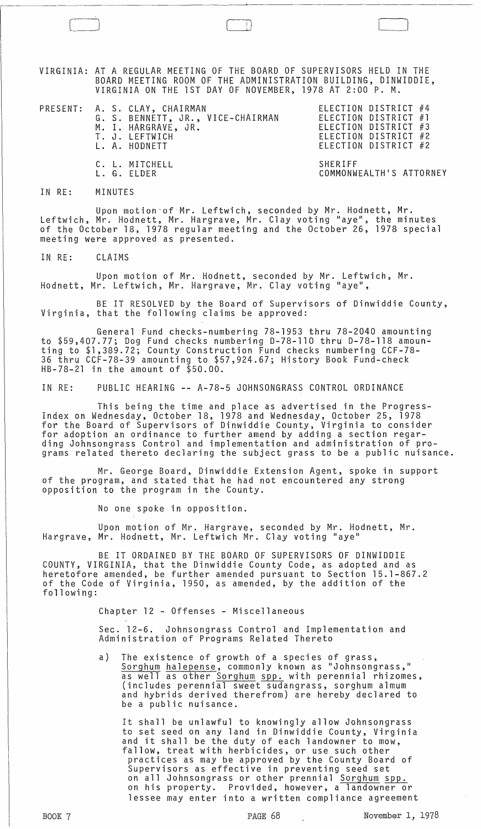VIRGINIA: AT A REGULAR MEETING OF THE BOARD OF SUPERVISORS HELD IN THE BOARD MEETING ROOM OF THE ADMINISTRATION BUILDING, DINWIDDIE, VIRGINIA ON THE 1ST DAY OF NOVEMBER, 1978 AT 2:00 P. M.

PRESENT: A.S.CLAY, CHAIRMAN ELECTION DISTRICT #4 G. S. BENNETT, JR., VICE-CHAIRMAN ELECTION DISTRICT #1 M. I. HARGRAVE, JR. ELECTION DISTRICT #3 T. J. LEFTWICH **ELECTION DISTRICT** #2 L. A. HODNETT ELECTION DISTRICT #2 C. L. MITCHELL SHERIFF

 $\Box$ 

COMMONWEALTH'S ATTORNEY

## IN RE: MINUTES

Upon motion of Mr. Leftwich, seconded by Mr. Hodnett, Mr. Leftwich, Mr. Hodnett, Mr. Hargrave, Mr. Clay voting "aye", the minutes of the October 18, 1978 regular meeting and the October 26, 1978 special meeting were approved as presented.

IN RE: CLAIMS

Upon motion of Mr. Hodnett, seconded by Mr. Leftwich, Mr. Hodnett, Mr. Leftwich, Mr. Hargrave, Mr. Clay voting "aye",

BE IT RESOLVED by the Board of Supervisors of Dinwiddie County, Virginia, that the following claims be approved:

General Fund checks-numbering 78-1953 thru 78-2040 amounting to \$59,407.77; Dog Fund checks numbering 0-78-110 thru 0-78-118 amounting to \$1,389.72; County Construction Fund checks numbering CCF-78- 36 thru CCF-78-39 amounting to \$57,924.67; History Book Fund-check  $HB-78-21$  in the amount of  $$50.00$ .

IN RE: PUBLIC HEARING -- A-78-5 JOHNSONGRASS CONTROL ORDINANCE

This being the time and place as advertised in the Progress-Index on Wednesday~ October 18, 1978 and Wednesday, October 25, 1978 for the Board of Supervisors of Dinwiddie County, Virginia to consider for adoption an ordinance to further amend by adding a section regar-<br>ding Johnsongrass Control and implementation and administration of programs related thereto declaring the subject grass to be a public nuisance.

Mr. George Board, Dinwiddie Extension Agent, spoke in support of the program, and stated that he had not encountered any strong opposition to the program in the County.

No one spoke in opposition.

Upon motion of Mr. Hargrave, seconded by Mr. Hodnett, Mr. Hargrave, Mr. Hodnett, Mr. Leftwich Mr. Clay voting "aye"

BE IT ORDAINED BY THE BOARD OF SUPERVISORS OF DINWIDDIE COUNTY, VIRGINIA, that the Dinwiddie County Code, as adopted and as heretofore amended, be further amended pursuant to Section 15.1-867.2 of the Code of Virginia, 1950, as amended, by the addition of the following:

Chapter 12 - Offenses - Miscellaneous

Sec. 12-6. Johnsongrass Control and Implementation and Administration of Programs Related Thereto

a) The existence of growth of a species of grass, Sorghum halepense, commonly known as "Johnsongrass,"<br>as well as other <u>Sorghum spp,</u> with perennial rhizomes, as well as other Sorghum spp. with perennial rhizomes,<br>(includes perennial sweet sudangrass, sorghum almum and hybrids derived therefrom) are hereby declared to be a public nuisance.

It shall be unlawful to knowingly allow Johnsongrass to set seed on any land in Dinwiddie County, Virginia and it shall be the duty of each landowner to mow, fallow, treat with herbicides, or use such other practices as may be approved by the County Board of Supervisors as effective in preventing seed set on all Johnsongrass or other prennial <u>Sorghum</u> spp. on his property. Provided, however, a landowner or lessee may enter into a written compliance agreement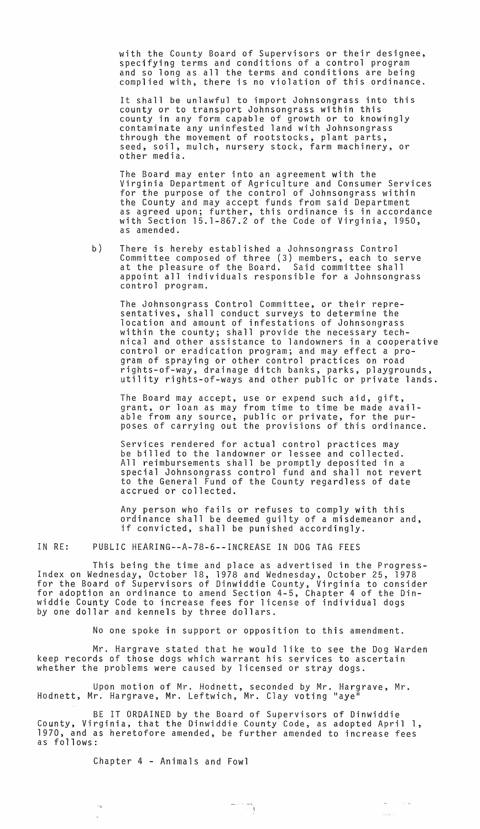with the County Board of Supervisors or their designee, specifying terms and conditions of a control program and so long as all the terms and conditions are being complied with, there is no violation of this ordinance.

It shall be unlawful to import Johnsongrass into this county or to transport Johnsongrass within this county in any form capable of growth or to knowingly contaminate any uninfested land with Johnsongrass through the movement of rootstocks, plant parts, seed, soil, mulch, nursery stock, farm machinery, or other media.

The Board may enter into an agreement with the Virginia Department of Agriculture and Consumer Services for the purpose of the control of Johnsongrass within the County and may accept funds from said Department as agreed upon; further, this ordinance is in accordance with Section 15.1-867.2 of the Code of Virginia, 1950, as amended.

b) There is hereby established a Johnsongrass Control Committee composed of three (3) members, each to serve at the pleasure of the Board. Said committee shall appoint all individuals responsible for a Johnsongrass control program.

The Johnsongrass Control Committee, or their representatives, shall conduct surveys to determine the location and amount of infestations of Johnsongrass within the county; shall provide the necessary technical and other assistance to landowners in a cooperative control or eradication program; and may effect a program of spraying or other control practices on road rights-of-way, drainage ditch banks, parks, playgrounds, utility rights-of-ways and other public or private lands.

The Board may accept, use or expend such aid, gift, grant, or loan as may from time to time be made available from any source, public or private, for the purposes of carrying out the provisions of this ordinance.

Services rendered for actual control practices may be billed to the landowner or lessee and collected. All reimbursements shall be promptly deposited in a special Johnsongrass control fund and shall not revert to the General Fund of the County regardless of date accrued or collected.

Any person who fails or refuses to comply with this ordinance shall be deemed guilty of a misdemeanor and, if convicted, shall be punished accordingly.

IN RE: PUBLIC HEARING--A-78-6--INCREASE IN DOG TAG FEES

This being the time and place as advertised in the Progress-Index on Wednesday, October 18, 1978 and Wednesday, October 25, 1978 for the Board of Supervisors of Dinwiddie County, Virginia to consider for adoption an ordinance to amend Section 4-5, Chapter 4 of the Dinwiddie County Code to increase fees for license of individual dogs by one dollar and kennels by three dollars.

No one spoke in support or opposition to this amendment.

Mr. Hargrave stated that he would like to see the Dog Warden keep records of those dogs which warrant his services to ascertain whether the problems were caused by licensed or stray dogs.

Upon motion of Mr. Hodnett, seconded by Mr. Hargrave, Mr.<br>r. Hargrave, Mr. Leftwich, Mr. Clay voting "aye" Hodnett, Mr. Hargrave, Mr. Leftwich, Mr. Clay voting

BE IT ORDAINED by the Board of Supervisors of Dinwiddie County, Virginia, that the Dinwiddie County Code, as adopted April 1, 1970, and as heretofore amended, be further amended to increase fees as follows:

 $\omega_{\rm{max}} = 1.5 \times 10^{11}$ 

Chapter 4 - Animals and Fowl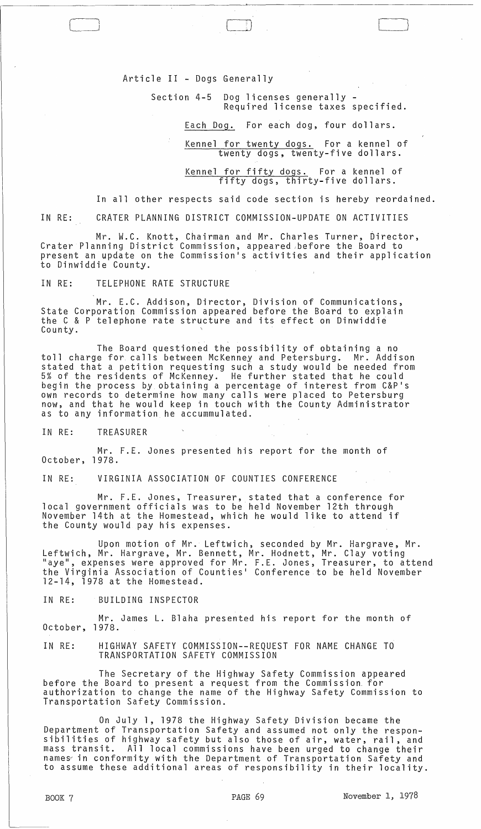Article II - Dogs Generally

Section 4-5 Dog licenses generally - Required license taxes specified.

 $\Box$ 

Each Dog. For each dog, four dollars.

Kennel for twenty dogs. For a kennel of twenty dogs, twenty-five dollars.

Kennel for fifty dogs. For a kennel of fifty dogs, thirty-five dollars.

In all other respects said code section is hereby reordained.

IN RE: CRATER PLANNING DISTRICT COMMISSION-UPDATE ON ACTIVITIES

Mr. W.C. Knott, Chairman and Mr. Charles Turner, Director, Crater Planning District Commission, appeared ,before the Board to present an update on the Commission·s activities and their application to Dinwiddie County.

IN RE: TELEPHONE RATE STRUCTURE

Mr. E.C. Addison, Director, Division of Communications, State Corporation Commission appeared before the Board to explain the C & P telephone rate structure and its effect on Dinwiddie County.

The Board questioned the possibility of obtaining a no toll charge for calls between McKenney and Petersburg. Mr. Addison stated that a petition requesting such a study would be needed from 5% of the residents of McKenney. He further stated that he could begin the process by obtaining a percentage of interest from C&p·s own records to determine how many calls were placed to Petersburg now, and that he would keep in touch with the County Administrator as to any information he accummulated.

IN RE: TREASURER

Mr. F.E. Jones presented his report for the month of October, 1978.

IN RE: VIRGINIA ASSOCIATION OF COUNTIES CONFERENCE

Mr. F.E. Jones, Treasurer, stated that a conference for local government officials was to be held November 12th through November 14th at the Homestead, which he would like to attend if the County would pay his expenses.

Upon motion of Mr. Leftwich, seconded by Mr. Hargrave, Mr. Leftwich, Mr. Hargrave, Mr. Bennett, Mr. Hodnett, Mr. Clay voting "aye", expenses were approved for Mr. F.E. Jones, Treasurer, to attend the Virginia Association of Counties· Conference to be held November 12-14, 1978 at the Homestead.

IN RE: BUILDING INSPECTOR

Mr. James L. Blaha presented his report for the month of October, 1978.

IN RE: HIGHWAY SAFETY COMMISSION--REQUEST FOR NAME CHANGE TO TRANSPORTATION SAFETY COMMISSION

The Secretary of the Highway Safety Commission appeared before the Board to present a request from the Commission. for authorization to change the name of the Highway Safety Commission to Transportation Safety Commission.

On July 1, 1978 the Highway Safety Division became the Department of Transportation Safety and assumed not only the responsibilities of highway safety but also those of air, water, rail, and mass transit. All local commissions have been urged to change their names in conformity with the Department of Transportation Safety and to assume these additional areas of responsibility in their locality.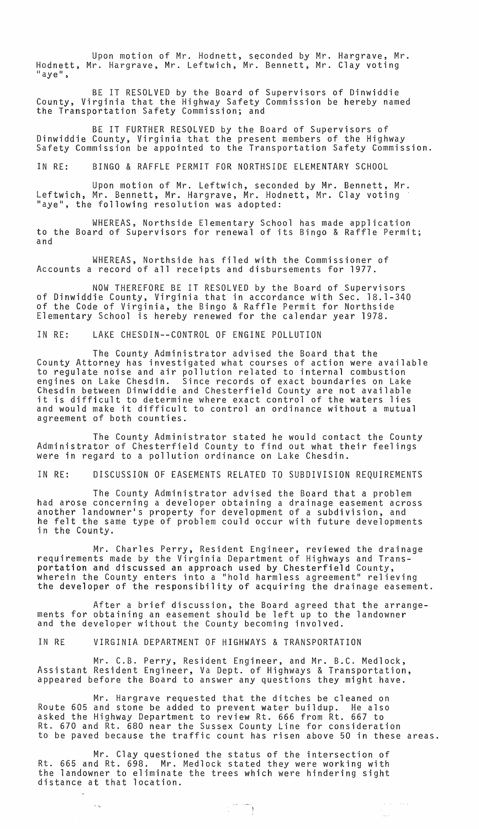Upon motion of Mr. Hodnett, seconded by Mr. Hargrave, Mr. Hodnett, Mr. Hargrave, Mr. Leftwich, Mr. Bennett, Mr. Clay voting<br>"aye",

BE IT RESOLVED by the Board of Supervisors of Dinwiddie County, Virginia that the Highway Safety Commission be hereby named the Transportation Safety Commission; and

BE IT FURTHER RESOLVED by the Board of Supervisors of Dinwiddie County, Virginia that the present members of the Highway<br>Safety Commission be appointed to the Transportation Safety Commission.

IN RE: BINGO & RAFFLE PERMIT FOR NORTHSIDE ELEMENTARY SCHOOL

Upon motion of Mr. Leftwich, seconded by Mr. Bennett, Mr. Leftwich, Mr. Bennett, Mr. Hargrave, Mr. Hodnett, Mr. Clay voting "aye", the following resolution was adopted:

WHEREAS, Northside Elementary School has made application to the Board of Supervisors for renewal of its Bingo & Raffle Permit; and

WHEREAS, Northside has filed with the Commissioner of Accounts a record of all receipts and disbursements for 1977.

NOW THEREFORE BE IT RESOLVED by the Board of Supervisors of Dinwiddie County, Virginia that in accordance with Sec. 18.1-340 of the Code of Virginia, the Bingo & Raffle Permit for Northside Elementary School is hereby renewed for the calendar year 1978.

IN RE: LAKE CHESDIN--CONTROL OF ENGINE POLLUTION

The County Administrator advised the Board that the County Attorney has investigated what courses of action were available to regulate noise and air pollution related to internal combustion engines on Lake Chesdin. Since records of exact boundaries on Lake Chesdin between Dinwiddie and Chesterfield County are not available it is difficult to determine where exact control of the waters lies and would make it difficult to control an ordinance without a mutual agreement of both counties.

The County Administrator stated he would contact the County Administrator of Chesterfield County to find out what their feelings were in regard to a pollution ordinance on Lake Chesdin.

IN RE: DISCUSSION OF EASEMENTS RELATED TO SUBDIVISION REQUIREMENTS

The County Administrator advised the Board that a problem had arose concerning a developer obtaining a drainage easement across another landowner's property for development of a subdivision, and he felt the same type of problem could occur with future developments in the County.

Mr. Charles Perry, Resident Engineer, reviewed the drainage requirements made by the Virginia Department of Highways and Transportation and discussed an approach used by Chesterfield County,<br>wherein the County enters into a "hold harmless agreement" relieving the developer of the responsibility of acquiring the drainage easement.

After a brief discussion, the Board agreed that the arrangements for obtaining an easement should be left up to the landowner and the developer without the County becoming involved.

IN RE VIRGINIA DEPARTMENT OF HIGHWAYS & TRANSPORTATION

Mr. C.B. Perry, Resident Engineer, and Mr. B.C. Medlock, Assistant Resident Engineer, Va Dept. of Highways & Transportation, appeared before the Board to answer any questions they might have.

Mr. Hargrave requested that the ditches be cleaned on Route 605 and stone be added to prevent water buildup. He also asked the Highway Department to review Rt. 666 from Rt. 667 to Rt. 670 and Rt. 680 near the Sussex County Line for consideration to be paved because the traffic count has risen above 50 in these areas.

Mr. Clay questioned the status of the intersection of Rt. 665 and Rt. 698. Mr. Medlock stated they were working with the landowner to eliminate the trees which were hindering sight distance at that location.

 $\sim \infty$ 

 $\Delta \sim 10^{11}$  , where  $\Delta$ 

 $\omega_{\rm{max}}$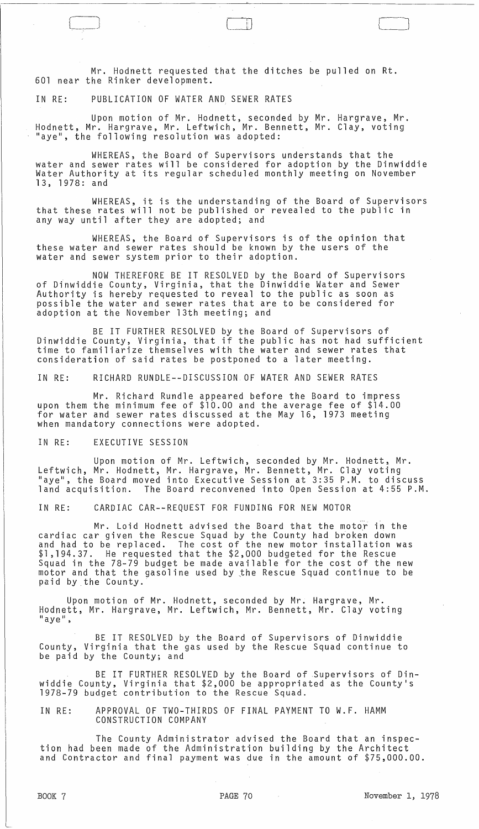Mr. Hodnett requested that the ditches be pulled on Rt. 601 near the Rinker development.

IN RE: PUBLICATION OF WATER AND SEWER RATES

[ .~-

 $\int$ 

Upon motion of Mr. Hodnett, seconded by Mr. Hargrave, Mr. Hodnett, Mr. Hargrave, Mr. Leftwich, Mr. Bennett, Mr. Clay, voting "aye", the following resolution was adopted:

WHEREAS, the Board of Supervisors understands that the water and sewer rates will be considered for adoption by the Dinwiddie Water Authority at its regular scheduled monthly meeting on November 13, 1978: and

WHEREAS, it is the understanding of the Board of Supervisors that these rates will not be published or revealed to the public in any way until after they are adopted; and

WHEREAS, the Board of Supervisors is of the opinion that these water and sewer rates should be known by the users of the water and sewer system prior to their adoption.

NOW THEREFORE BE IT RESOLVED by the Board of Supervisors of Dinwiddie County, Virginia, that the Dinwiddie Water and Sewer Authority is hereby requested to reveal to the public as soon as possible the water and sewer rates that are to be considered for adoption at the November 13th meeting; and

BE IT FURTHER RESDLVED by the Board of Supervisors of Dinwiddie County, Virginia, that if the public has not had sufficient time to familiarize themselves with the water and sewer rates that consideration of said rates be postponed to a later meeting.

IN RE: RICHARD RUNDLE--DISCUSSION OF WATER AND SEWER RATES

Mr. Richard Rundle appeared before the Board to impress upon them the minimum fee of \$10.00 and the average fee of \$14.00 for water and sewer rates discussed at the May 16, 1973 meeting when mandatory connections were adopted.

IN RE: EXECUTIVE SESSION

Upon motion of Mr. Leftwich, seconded by Mr. Hodnett, Mr. Leftwich, Mr. Hodnett, Mr. Hargrave, Mr. Bennett, Mr. Clay voting "aye", the Board moved into Executive Session at 3:35 P.M. to discuss land acquisition. The Board reconvened into Open Session at 4:55 P.M.

IN RE: CARDIAC CAR--REQUEST FOR FUNDING FOR NEW MOTOR

Mr. Loid Hodnett advised the Board that the motor in the cardiac car given the Rescue Squad by the County had broken down and had to be replaced. The cost of the new motor installation was \$1,194.37. He requested that the \$2,000 budgeted for the Rescue Squad in the 78-79 budget be made available for the cost of the new motor and that the gasoline used by the Rescue Squad continue to be paid by the County.

Upon motion of Mr. Hodnett, seconded by Mr. Hargrave, Mr. Hodnett, Mr. Hargrave, Mr. Leftwich, Mr. Bennett, Mr. Clay voting<br>"aye",

BE IT RESOLVED by the Board of Supervisors of Dinwiddie County, Virginia that the gas used by the Rescue Squad continue to be paid by the County; and

BE IT FURTHER RESOLVED by the Board of Supervisors of Dinwiddie County, Virginia that \$2,000 be appropriated as the County's 1978-79 budget contribution to the Rescue Squad.

IN RE: APPROVAL OF TWO-THIRDS OF FINAL PAYMENT TO W.F. HAMM CONSTRUCTION COMPANY

The County Administrator advised the Board that an inspection had been made of the Administration building by the Architect and Contractor and final payment was due in the amount of \$75,000.00.